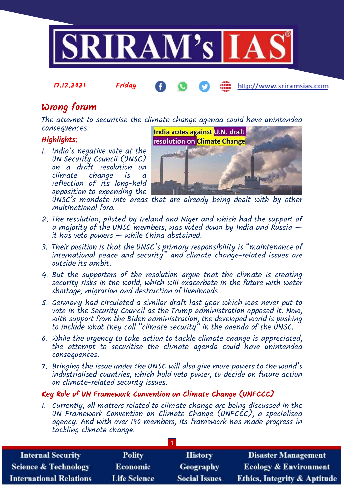

17.12.2021 Friday

http://www.sriramsias.com

# Wrong forum

The attempt to securitise the climate change agenda could have unintended consequences.

## Highlights:

1. India's negative vote at the UN Security Council (UNSC) on a draft resolution on climate change is a reflection of its long-held opposition to expanding the multinational fora.



UNSC's mandate into areas that are already being dealt with by other

- 2. The resolution, piloted by Ireland and Niger and which had the support of a majority of the UNSC members, was voted down by India and Russia  $$ it has veto powers  $-\omega$  while China abstained.
- 3. Their position is that the UNSC's primary responsibility is "maintenance of international peace and security" and climate change-related issues are outside its ambit.
- 4. But the supporters of the resolution argue that the climate is creating security risks in the world, which will exacerbate in the future with water shortage, migration and destruction of livelihoods.
- 5. Germany had circulated a similar draft last year which was never put to vote in the Security Council as the Trump administration opposed it. Now, with support from the Biden administration, the developed world is pushing to include what they call "climate security" in the agenda of the UNSC.
- 6. While the urgency to take action to tackle climate change is appreciated, the attempt to securitise the climate agenda could have unintended consequences.
- 7. Bringing the issue under the UNSC will also give more powers to the world's industrialised countries, which hold veto power, to decide on future action on climate-related security issues.

## Key Role of UN Framework Convention on Climate Change (UNFCCC)

1. Currently, all matters related to climate change are being discussed in the UN Framework Convention on Climate Change (UNFCCC), a specialised agency. And with over 190 members, its framework has made progress in tackling climate change.

| <b>Internal Security</b>        | <b>Polity</b>       | <b>History</b>       | <b>Disaster Management</b>              |  |  |  |
|---------------------------------|---------------------|----------------------|-----------------------------------------|--|--|--|
| <b>Science &amp; Technology</b> | Economic            | <b>Geography</b>     | <b>Ecology &amp; Environment</b>        |  |  |  |
| <b>International Relations</b>  | <b>Life Science</b> | <b>Social Issues</b> | <b>Ethics, Integrity &amp; Aptitude</b> |  |  |  |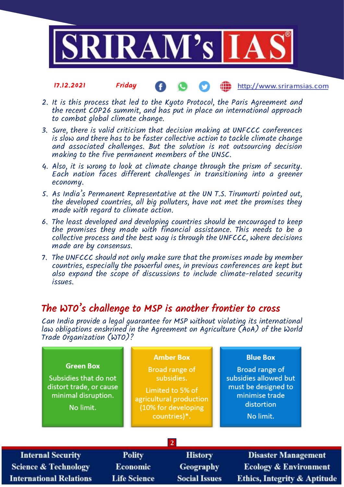

#### 17.12.2021 Friday http://www.sriramsias.com

- 2. It is this process that led to the Kyoto Protocol, the Paris Agreement and the recent COP26 summit, and has put in place an international approach to combat global climate change.
- 3. Sure, there is valid criticism that decision making at UNFCCC conferences is slow and there has to be faster collective action to tackle climate change and associated challenges. But the solution is not outsourcing decision making to the five permanent members of the UNSC.
- 4. Also, it is wrong to look at climate change through the prism of security. Each nation faces different challenges in transitioning into a greener economy.
- 5. As India's Permanent Representative at the UN T.S. Tirumurti pointed out, the developed countries, all big polluters, have not met the promises they made with regard to climate action.
- 6. The least developed and developing countries should be encouraged to keep the promises they made with financial assistance. This needs to be a collective process and the best way is through the UNFCCC, where decisions made are by consensus.
- 7. The UNFCCC should not only make sure that the promises made by member countries, especially the powerful ones, in previous conferences are kept but also expand the scope of discussions to include climate-related security issues.

## The WTO's challenge to MSP is another frontier to cross

**Life Science** 

Inte

**International Relations** 

**Scienc** 

Can India provide a legal guarantee for MSP without violating its international law obligations enshrined in the Agreement on Agriculture (AoA) of the World Trade Organization (WTO)?

| <b>Green Box</b><br>Subsidies that do not<br>distort trade, or cause<br>minimal disruption.<br>No limit. |                           | <b>Amber Box</b><br>Broad range of<br>subsidies.<br>Limited to 5% of<br>agricultural production<br>(10% for developing<br>countries)*. | <b>Blue Box</b><br>Broad range of<br>subsidies allowed but<br>must be designed to<br>minimise trade<br>distortion<br>No limit. |  |  |  |  |  |
|----------------------------------------------------------------------------------------------------------|---------------------------|----------------------------------------------------------------------------------------------------------------------------------------|--------------------------------------------------------------------------------------------------------------------------------|--|--|--|--|--|
| $\overline{2}$                                                                                           |                           |                                                                                                                                        |                                                                                                                                |  |  |  |  |  |
| rnal Security<br>e & Technology                                                                          | <b>Polity</b><br>Economic | <b>History</b><br>Geography                                                                                                            | <b>Disaster Management</b><br><b>Ecology &amp; Environment</b>                                                                 |  |  |  |  |  |

**Social Issues** 

**Ethics, Integrity & Aptitude**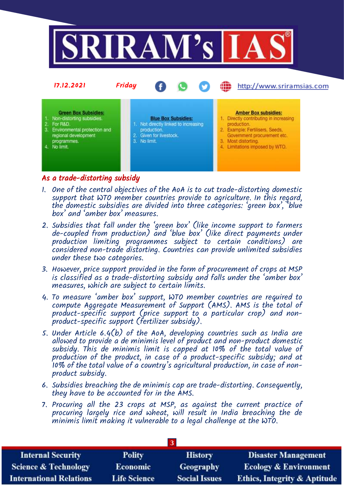

## As a trade-distorting subsidy

- 1. One of the central objectives of the AoA is to cut trade-distorting domestic support that WTO member countries provide to agriculture. In this regard, the domestic subsidies are divided into three categories: 'green box', 'blue box' and 'amber box' measures.
- 2. Subsidies that fall under the 'green box' (like income support to farmers de-coupled from production) and 'blue box' (like direct payments under production limiting programmes subject to certain conditions) are considered non-trade distorting. Countries can provide unlimited subsidies under these two categories.
- 3. However, price support provided in the form of procurement of crops at MSP is classified as a trade-distorting subsidy and falls under the 'amber box' measures, which are subject to certain limits.
- 4. To measure 'amber box' support, WTO member countries are required to compute Aggregate Measurement of Support (AMS). AMS is the total of product-specific support (price support to a particular crop) and nonproduct-specific support (fertilizer subsidy).
- 5. Under Article 6.4(b) of the AoA, developing countries such as India are allowed to provide a de minimis level of product and non-product domestic subsidy. This de minimis limit is capped at 10% of the total value of production of the product, in case of a product-specific subsidy; and at 10% of the total value of a country's agricultural production, in case of nonproduct subsidy.
- 6. Subsidies breaching the de minimis cap are trade-distorting. Consequently, they have to be accounted for in the AMS.
- 7. Procuring all the 23 crops at MSP, as against the current practice of procuring largely rice and wheat, will result in India breaching the de minimis limit making it vulnerable to a legal challenge at the WTO.

| <b>Internal Security</b>        | <b>Polity</b>       | <b>History</b>       | <b>Disaster Management</b>              |  |  |  |
|---------------------------------|---------------------|----------------------|-----------------------------------------|--|--|--|
| <b>Science &amp; Technology</b> | <b>Economic</b>     | Geography            | <b>Ecology &amp; Environment</b>        |  |  |  |
| <b>International Relations</b>  | <b>Life Science</b> | <b>Social Issues</b> | <b>Ethics, Integrity &amp; Aptitude</b> |  |  |  |